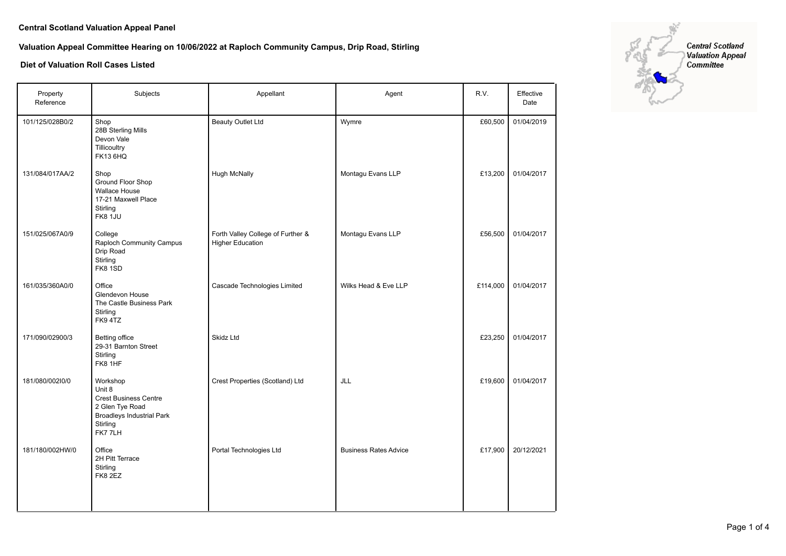## **Valuation Appeal Committee Hearing on 10/06/2022 at Raploch Community Campus, Drip Road, Stirling**

| Property<br>Reference | Subjects                                                                                                                        | Appellant                                                    | Agent                        | R.V.     | Effective<br>Date |
|-----------------------|---------------------------------------------------------------------------------------------------------------------------------|--------------------------------------------------------------|------------------------------|----------|-------------------|
| 101/125/028B0/2       | Shop<br>28B Sterling Mills<br>Devon Vale<br>Tillicoultry<br><b>FK13 6HQ</b>                                                     | <b>Beauty Outlet Ltd</b>                                     | Wymre                        | £60,500  | 01/04/2019        |
| 131/084/017AA/2       | Shop<br>Ground Floor Shop<br><b>Wallace House</b><br>17-21 Maxwell Place<br>Stirling<br><b>FK8 1JU</b>                          | <b>Hugh McNally</b>                                          | Montagu Evans LLP            | £13,200  | 01/04/2017        |
| 151/025/067A0/9       | College<br>Raploch Community Campus<br>Drip Road<br>Stirling<br>FK8 1SD                                                         | Forth Valley College of Further &<br><b>Higher Education</b> | Montagu Evans LLP            | £56,500  | 01/04/2017        |
| 161/035/360A0/0       | Office<br>Glendevon House<br>The Castle Business Park<br>Stirling<br>FK94TZ                                                     | Cascade Technologies Limited                                 | Wilks Head & Eve LLP         | £114,000 | 01/04/2017        |
| 171/090/02900/3       | Betting office<br>29-31 Barnton Street<br>Stirling<br>FK8 1HF                                                                   | Skidz Ltd                                                    |                              | £23,250  | 01/04/2017        |
| 181/080/00210/0       | Workshop<br>Unit 8<br><b>Crest Business Centre</b><br>2 Glen Tye Road<br><b>Broadleys Industrial Park</b><br>Stirling<br>FK77LH | Crest Properties (Scotland) Ltd                              | JLL                          | £19,600  | 01/04/2017        |
| 181/180/002HW/0       | Office<br>2H Pitt Terrace<br>Stirling<br>FK8 2EZ                                                                                | Portal Technologies Ltd                                      | <b>Business Rates Advice</b> | £17,900  | 20/12/2021        |

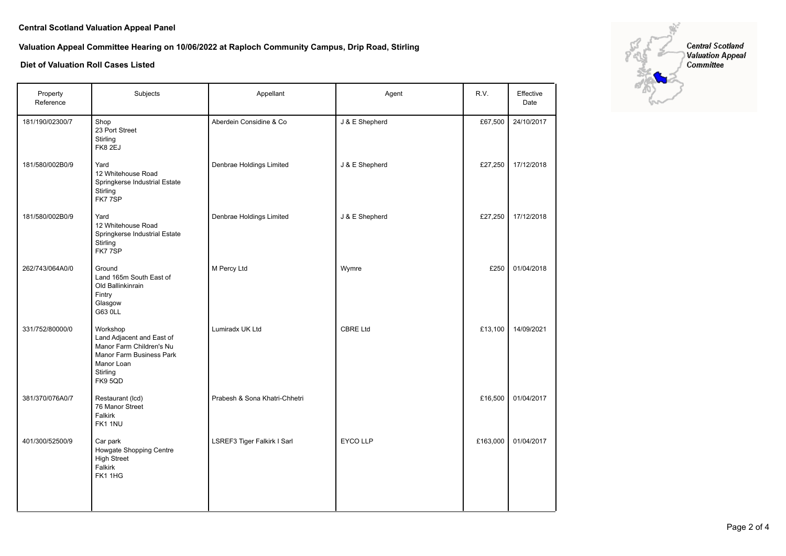# **Valuation Appeal Committee Hearing on 10/06/2022 at Raploch Community Campus, Drip Road, Stirling**

| Property<br>Reference | Subjects                                                                                                                           | Appellant                     | Agent           | R.V.     | Effective<br>Date |
|-----------------------|------------------------------------------------------------------------------------------------------------------------------------|-------------------------------|-----------------|----------|-------------------|
| 181/190/02300/7       | Shop<br>23 Port Street<br>Stirling<br>FK8 2EJ                                                                                      | Aberdein Considine & Co       | J & E Shepherd  | £67,500  | 24/10/2017        |
| 181/580/002B0/9       | Yard<br>12 Whitehouse Road<br>Springkerse Industrial Estate<br>Stirling<br>FK77SP                                                  | Denbrae Holdings Limited      | J & E Shepherd  | £27,250  | 17/12/2018        |
| 181/580/002B0/9       | Yard<br>12 Whitehouse Road<br>Springkerse Industrial Estate<br>Stirling<br>FK77SP                                                  | Denbrae Holdings Limited      | J & E Shepherd  | £27,250  | 17/12/2018        |
| 262/743/064A0/0       | Ground<br>Land 165m South East of<br>Old Ballinkinrain<br>Fintry<br>Glasgow<br>G63 0LL                                             | M Percy Ltd                   | Wymre           | £250     | 01/04/2018        |
| 331/752/80000/0       | Workshop<br>Land Adjacent and East of<br>Manor Farm Children's Nu<br>Manor Farm Business Park<br>Manor Loan<br>Stirling<br>FK9 5QD | Lumiradx UK Ltd               | <b>CBRE Ltd</b> | £13,100  | 14/09/2021        |
| 381/370/076A0/7       | Restaurant (Icd)<br>76 Manor Street<br>Falkirk<br>FK1 1NU                                                                          | Prabesh & Sona Khatri-Chhetri |                 | £16,500  | 01/04/2017        |
| 401/300/52500/9       | Car park<br>Howgate Shopping Centre<br><b>High Street</b><br>Falkirk<br>FK11HG                                                     | LSREF3 Tiger Falkirk I Sarl   | <b>EYCO LLP</b> | £163,000 | 01/04/2017        |

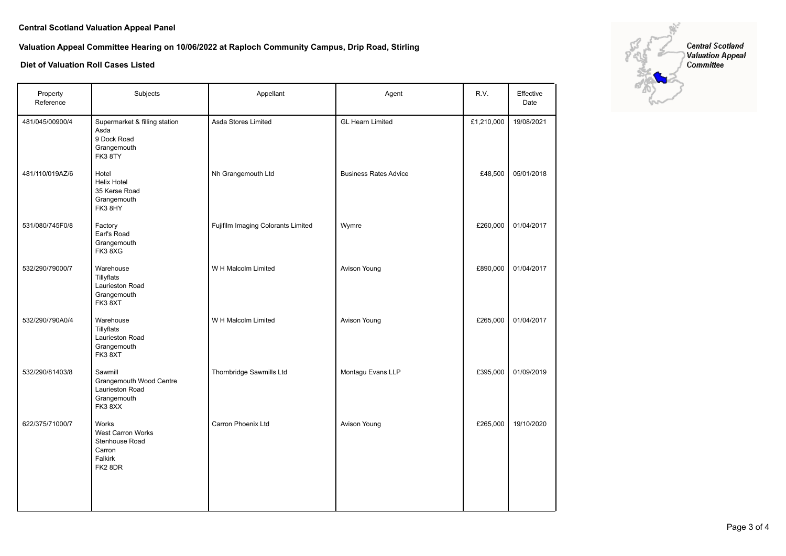# **Valuation Appeal Committee Hearing on 10/06/2022 at Raploch Community Campus, Drip Road, Stirling**

| Property<br>Reference | Subjects                                                                            | Appellant                          | Agent                        | R.V.       | Effective<br>Date |
|-----------------------|-------------------------------------------------------------------------------------|------------------------------------|------------------------------|------------|-------------------|
| 481/045/00900/4       | Supermarket & filling station<br>Asda<br>9 Dock Road<br>Grangemouth<br>FK38TY       | Asda Stores Limited                | <b>GL Hearn Limited</b>      | £1,210,000 | 19/08/2021        |
| 481/110/019AZ/6       | Hotel<br><b>Helix Hotel</b><br>35 Kerse Road<br>Grangemouth<br>FK3 8HY              | Nh Grangemouth Ltd                 | <b>Business Rates Advice</b> | £48,500    | 05/01/2018        |
| 531/080/745F0/8       | Factory<br>Earl's Road<br>Grangemouth<br>FK38XG                                     | Fujifilm Imaging Colorants Limited | Wymre                        | £260,000   | 01/04/2017        |
| 532/290/79000/7       | Warehouse<br>Tillyflats<br>Laurieston Road<br>Grangemouth<br>FK38XT                 | W H Malcolm Limited                | <b>Avison Young</b>          | £890,000   | 01/04/2017        |
| 532/290/790A0/4       | Warehouse<br>Tillyflats<br>Laurieston Road<br>Grangemouth<br>FK38XT                 | W H Malcolm Limited                | Avison Young                 | £265,000   | 01/04/2017        |
| 532/290/81403/8       | Sawmill<br>Grangemouth Wood Centre<br>Laurieston Road<br>Grangemouth<br>FK38XX      | Thornbridge Sawmills Ltd           | Montagu Evans LLP            | £395,000   | 01/09/2019        |
| 622/375/71000/7       | Works<br><b>West Carron Works</b><br>Stenhouse Road<br>Carron<br>Falkirk<br>FK2 8DR | Carron Phoenix Ltd                 | Avison Young                 | £265,000   | 19/10/2020        |